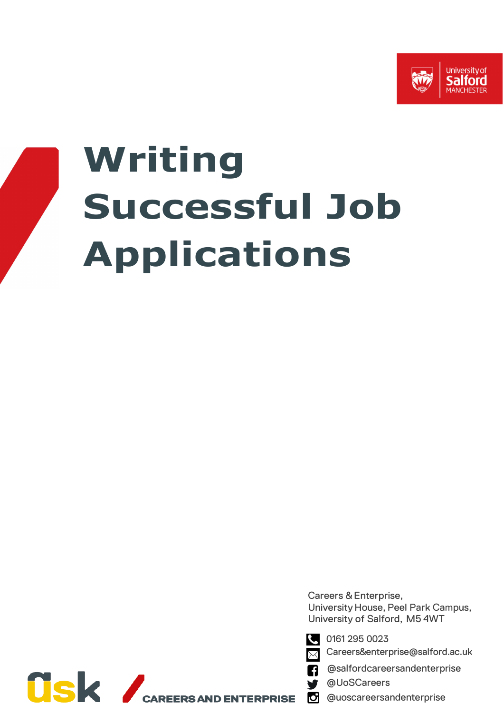

# **Writing Successful Job Applications**

Careers & Enterprise, University House, Peel Park Campus, University of Salford, M5 4WT



Careers&enterprise@salford.ac.uk

@salfordcareersandenterprise

@UoSCareers

@uoscareersandenterprise

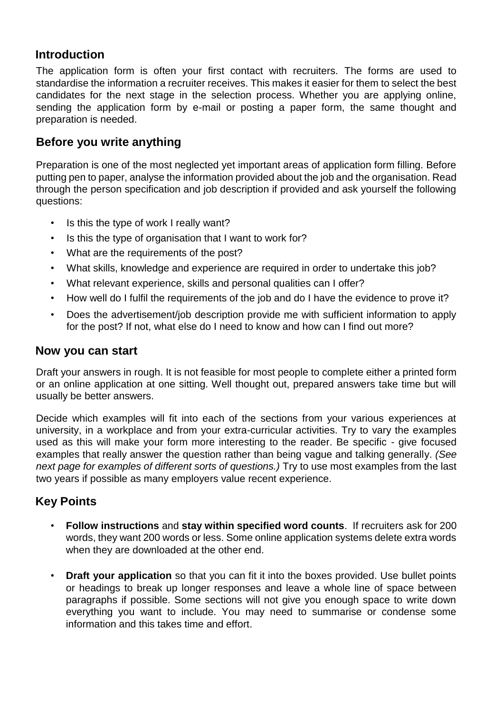# **Introduction**

The application form is often your first contact with recruiters. The forms are used to standardise the information a recruiter receives. This makes it easier for them to select the best candidates for the next stage in the selection process. Whether you are applying online, sending the application form by e-mail or posting a paper form, the same thought and preparation is needed.

# **Before you write anything**

Preparation is one of the most neglected yet important areas of application form filling. Before putting pen to paper, analyse the information provided about the job and the organisation. Read through the person specification and job description if provided and ask yourself the following questions:

- Is this the type of work I really want?
- Is this the type of organisation that I want to work for?
- What are the requirements of the post?
- What skills, knowledge and experience are required in order to undertake this job?
- What relevant experience, skills and personal qualities can I offer?
- How well do I fulfil the requirements of the job and do I have the evidence to prove it?
- Does the advertisement/job description provide me with sufficient information to apply for the post? If not, what else do I need to know and how can I find out more?

## **Now you can start**

Draft your answers in rough. It is not feasible for most people to complete either a printed form or an online application at one sitting. Well thought out, prepared answers take time but will usually be better answers.

Decide which examples will fit into each of the sections from your various experiences at university, in a workplace and from your extra-curricular activities. Try to vary the examples used as this will make your form more interesting to the reader. Be specific - give focused examples that really answer the question rather than being vague and talking generally. *(See next page for examples of different sorts of questions.)* Try to use most examples from the last two years if possible as many employers value recent experience.

# **Key Points**

- **Follow instructions** and **stay within specified word counts**. If recruiters ask for 200 words, they want 200 words or less. Some online application systems delete extra words when they are downloaded at the other end.
- **Draft your application** so that you can fit it into the boxes provided. Use bullet points or headings to break up longer responses and leave a whole line of space between paragraphs if possible. Some sections will not give you enough space to write down everything you want to include. You may need to summarise or condense some information and this takes time and effort.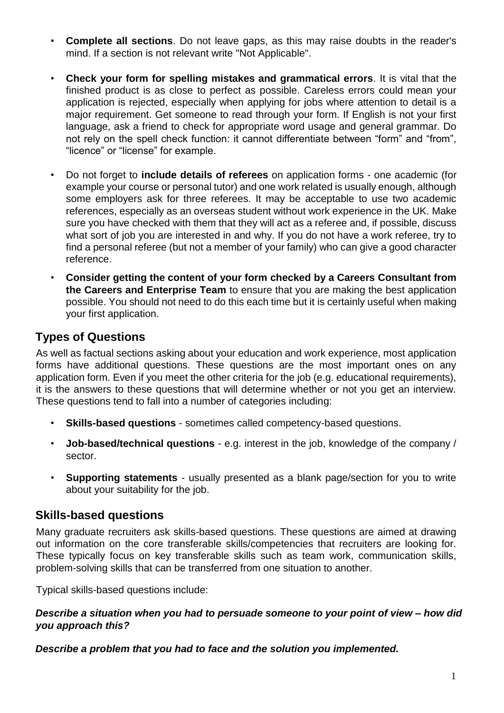- **Complete all sections**. Do not leave gaps, as this may raise doubts in the reader's mind. If a section is not relevant write "Not Applicable".
- **Check your form for spelling mistakes and grammatical errors**. It is vital that the finished product is as close to perfect as possible. Careless errors could mean your application is rejected, especially when applying for jobs where attention to detail is a major requirement. Get someone to read through your form. If English is not your first language, ask a friend to check for appropriate word usage and general grammar. Do not rely on the spell check function: it cannot differentiate between "form" and "from", "licence" or "license" for example.
- Do not forget to **include details of referees** on application forms one academic (for example your course or personal tutor) and one work related is usually enough, although some employers ask for three referees. It may be acceptable to use two academic references, especially as an overseas student without work experience in the UK. Make sure you have checked with them that they will act as a referee and, if possible, discuss what sort of job you are interested in and why. If you do not have a work referee, try to find a personal referee (but not a member of your family) who can give a good character reference.
- **Consider getting the content of your form checked by a Careers Consultant from the Careers and Enterprise Team** to ensure that you are making the best application possible. You should not need to do this each time but it is certainly useful when making your first application.

# **Types of Questions**

As well as factual sections asking about your education and work experience, most application forms have additional questions. These questions are the most important ones on any application form. Even if you meet the other criteria for the job (e.g. educational requirements), it is the answers to these questions that will determine whether or not you get an interview. These questions tend to fall into a number of categories including:

- **Skills-based questions**  sometimes called competency-based questions.
- **Job-based/technical questions**  e.g. interest in the job, knowledge of the company / sector.
- **Supporting statements**  usually presented as a blank page/section for you to write about your suitability for the job.

## **Skills-based questions**

Many graduate recruiters ask skills-based questions. These questions are aimed at drawing out information on the core transferable skills/competencies that recruiters are looking for. These typically focus on key transferable skills such as team work, communication skills, problem-solving skills that can be transferred from one situation to another.

Typical skills-based questions include:

#### *Describe a situation when you had to persuade someone to your point of view – how did you approach this?*

*Describe a problem that you had to face and the solution you implemented.*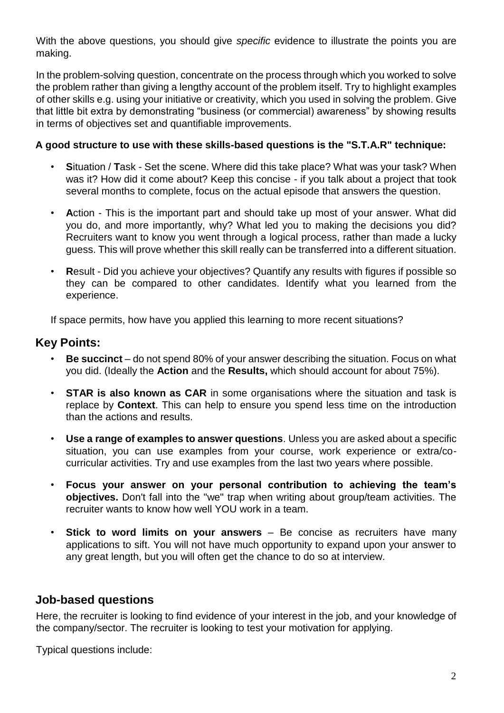With the above questions, you should give *specific* evidence to illustrate the points you are making.

In the problem-solving question, concentrate on the process through which you worked to solve the problem rather than giving a lengthy account of the problem itself. Try to highlight examples of other skills e.g. using your initiative or creativity, which you used in solving the problem. Give that little bit extra by demonstrating "business (or commercial) awareness" by showing results in terms of objectives set and quantifiable improvements.

#### **A good structure to use with these skills-based questions is the "S.T.A.R" technique:**

- **S**ituation / **T**ask Set the scene. Where did this take place? What was your task? When was it? How did it come about? Keep this concise - if you talk about a project that took several months to complete, focus on the actual episode that answers the question.
- **A**ction This is the important part and should take up most of your answer. What did you do, and more importantly, why? What led you to making the decisions you did? Recruiters want to know you went through a logical process, rather than made a lucky guess. This will prove whether this skill really can be transferred into a different situation.
- **R**esult Did you achieve your objectives? Quantify any results with figures if possible so they can be compared to other candidates. Identify what you learned from the experience.

If space permits, how have you applied this learning to more recent situations?

# **Key Points:**

- **Be succinct**  do not spend 80% of your answer describing the situation. Focus on what you did. (Ideally the **Action** and the **Results,** which should account for about 75%).
- **STAR is also known as CAR** in some organisations where the situation and task is replace by **Context**. This can help to ensure you spend less time on the introduction than the actions and results.
- **Use a range of examples to answer questions**. Unless you are asked about a specific situation, you can use examples from your course, work experience or extra/cocurricular activities. Try and use examples from the last two years where possible.
- **Focus your answer on your personal contribution to achieving the team's objectives.** Don't fall into the "we" trap when writing about group/team activities. The recruiter wants to know how well YOU work in a team.
- **Stick to word limits on your answers**  Be concise as recruiters have many applications to sift. You will not have much opportunity to expand upon your answer to any great length, but you will often get the chance to do so at interview.

## **Job-based questions**

Here, the recruiter is looking to find evidence of your interest in the job, and your knowledge of the company/sector. The recruiter is looking to test your motivation for applying.

Typical questions include: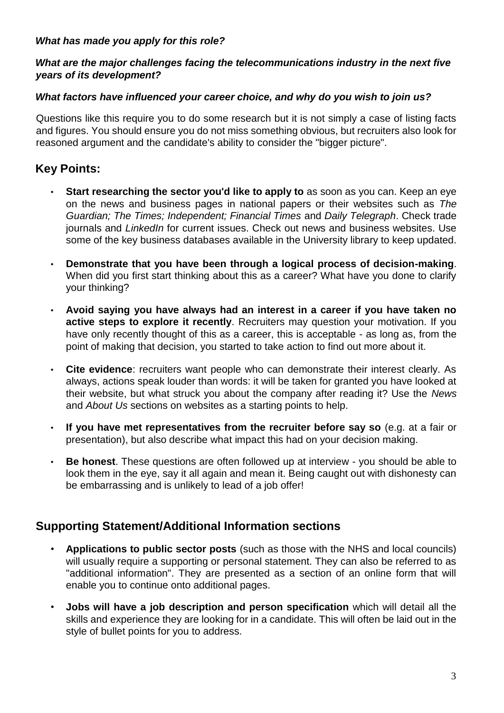#### *What has made you apply for this role?*

#### *What are the major challenges facing the telecommunications industry in the next five years of its development?*

#### *What factors have influenced your career choice, and why do you wish to join us?*

Questions like this require you to do some research but it is not simply a case of listing facts and figures. You should ensure you do not miss something obvious, but recruiters also look for reasoned argument and the candidate's ability to consider the "bigger picture".

# **Key Points:**

- **Start researching the sector you'd like to apply to** as soon as you can. Keep an eye on the news and business pages in national papers or their websites such as *The Guardian; The Times; Independent; Financial Times* and *Daily Telegraph*. Check trade journals and *LinkedIn* for current issues. Check out news and business websites. Use some of the key business databases available in the University library to keep updated.
- **Demonstrate that you have been through a logical process of decision-making**. When did you first start thinking about this as a career? What have you done to clarify your thinking?
- **Avoid saying you have always had an interest in a career if you have taken no active steps to explore it recently**. Recruiters may question your motivation. If you have only recently thought of this as a career, this is acceptable - as long as, from the point of making that decision, you started to take action to find out more about it.
- **Cite evidence**: recruiters want people who can demonstrate their interest clearly. As always, actions speak louder than words: it will be taken for granted you have looked at their website, but what struck you about the company after reading it? Use the *News*  and *About Us* sections on websites as a starting points to help.
- **If you have met representatives from the recruiter before say so** (e.g. at a fair or presentation), but also describe what impact this had on your decision making.
- **Be honest**. These questions are often followed up at interview you should be able to look them in the eye, say it all again and mean it. Being caught out with dishonesty can be embarrassing and is unlikely to lead of a job offer!

## **Supporting Statement/Additional Information sections**

- **Applications to public sector posts** (such as those with the NHS and local councils) will usually require a supporting or personal statement. They can also be referred to as "additional information". They are presented as a section of an online form that will enable you to continue onto additional pages.
- **Jobs will have a job description and person specification** which will detail all the skills and experience they are looking for in a candidate. This will often be laid out in the style of bullet points for you to address.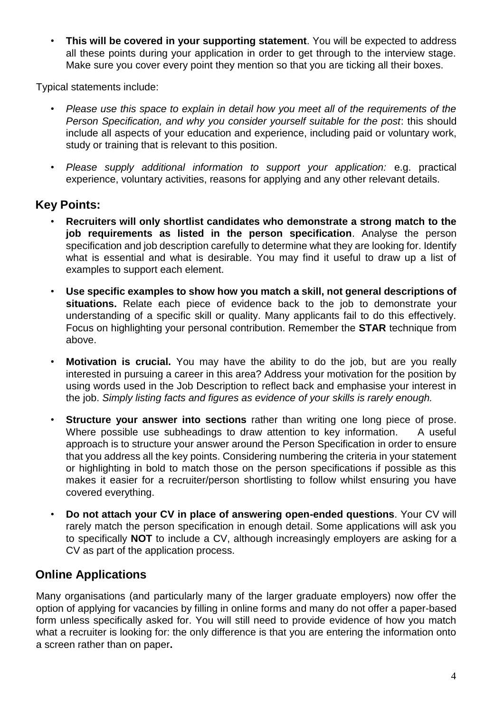• **This will be covered in your supporting statement**. You will be expected to address all these points during your application in order to get through to the interview stage. Make sure you cover every point they mention so that you are ticking all their boxes.

Typical statements include:

- *Please use this space to explain in detail how you meet all of the requirements of the Person Specification, and why you consider yourself suitable for the post*: this should include all aspects of your education and experience, including paid or voluntary work, study or training that is relevant to this position.
- *Please supply additional information to support your application:* e.g. practical experience, voluntary activities, reasons for applying and any other relevant details.

# **Key Points:**

- **Recruiters will only shortlist candidates who demonstrate a strong match to the job requirements as listed in the person specification**. Analyse the person specification and job description carefully to determine what they are looking for. Identify what is essential and what is desirable. You may find it useful to draw up a list of examples to support each element.
- **Use specific examples to show how you match a skill, not general descriptions of situations.** Relate each piece of evidence back to the job to demonstrate your understanding of a specific skill or quality. Many applicants fail to do this effectively. Focus on highlighting your personal contribution. Remember the **STAR** technique from above.
- **Motivation is crucial.** You may have the ability to do the job, but are you really interested in pursuing a career in this area? Address your motivation for the position by using words used in the Job Description to reflect back and emphasise your interest in the job. *Simply listing facts and figures as evidence of your skills is rarely enough.*
- **Structure your answer into sections** rather than writing one long piece of prose. Where possible use subheadings to draw attention to key information. A useful approach is to structure your answer around the Person Specification in order to ensure that you address all the key points. Considering numbering the criteria in your statement or highlighting in bold to match those on the person specifications if possible as this makes it easier for a recruiter/person shortlisting to follow whilst ensuring you have covered everything.
- **Do not attach your CV in place of answering open-ended questions**. Your CV will rarely match the person specification in enough detail. Some applications will ask you to specifically **NOT** to include a CV, although increasingly employers are asking for a CV as part of the application process.

# **Online Applications**

Many organisations (and particularly many of the larger graduate employers) now offer the option of applying for vacancies by filling in online forms and many do not offer a paper-based form unless specifically asked for. You will still need to provide evidence of how you match what a recruiter is looking for: the only difference is that you are entering the information onto a screen rather than on paper**.**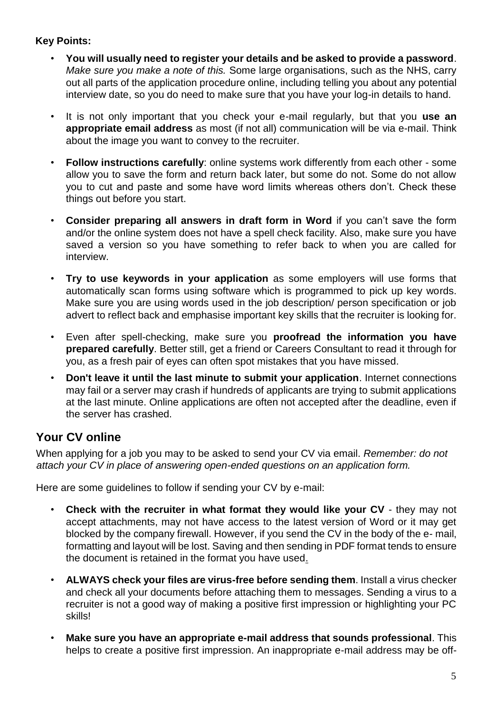## **Key Points:**

- **You will usually need to register your details and be asked to provide a password**. *Make sure you make a note of this.* Some large organisations, such as the NHS, carry out all parts of the application procedure online, including telling you about any potential interview date, so you do need to make sure that you have your log-in details to hand.
- It is not only important that you check your e-mail regularly, but that you **use an appropriate email address** as most (if not all) communication will be via e-mail. Think about the image you want to convey to the recruiter.
- **Follow instructions carefully**: online systems work differently from each other some allow you to save the form and return back later, but some do not. Some do not allow you to cut and paste and some have word limits whereas others don't. Check these things out before you start.
- **Consider preparing all answers in draft form in Word** if you can't save the form and/or the online system does not have a spell check facility. Also, make sure you have saved a version so you have something to refer back to when you are called for interview.
- **Try to use keywords in your application** as some employers will use forms that automatically scan forms using software which is programmed to pick up key words. Make sure you are using words used in the job description/ person specification or job advert to reflect back and emphasise important key skills that the recruiter is looking for.
- Even after spell-checking, make sure you **proofread the information you have prepared carefully**. Better still, get a friend or Careers Consultant to read it through for you, as a fresh pair of eyes can often spot mistakes that you have missed.
- **Don't leave it until the last minute to submit your application**. Internet connections may fail or a server may crash if hundreds of applicants are trying to submit applications at the last minute. Online applications are often not accepted after the deadline, even if the server has crashed.

# **Your CV online**

When applying for a job you may to be asked to send your CV via email. *Remember: do not attach your CV in place of answering open-ended questions on an application form.*

Here are some guidelines to follow if sending your CV by e-mail:

- **Check with the recruiter in what format they would like your CV**  they may not accept attachments, may not have access to the latest version of Word or it may get blocked by the company firewall. However, if you send the CV in the body of the e- mail, formatting and layout will be lost. Saving and then sending in PDF format tends to ensure the document is retained in the format you have used.
- **ALWAYS check your files are virus-free before sending them**. Install a virus checker and check all your documents before attaching them to messages. Sending a virus to a recruiter is not a good way of making a positive first impression or highlighting your PC skills!
- **Make sure you have an appropriate e-mail address that sounds professional**. This helps to create a positive first impression. An inappropriate e-mail address may be off-